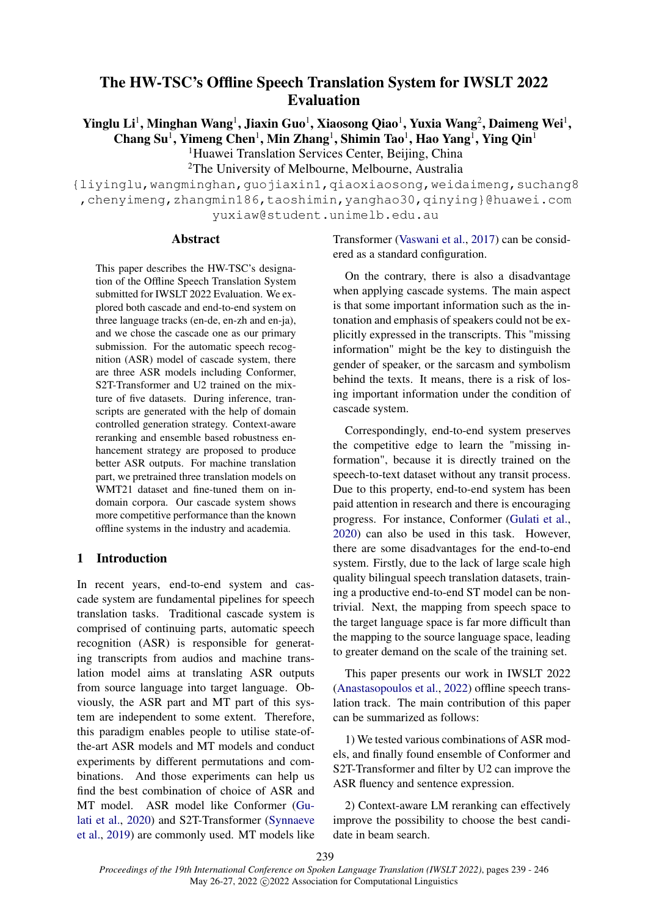# The HW-TSC's Offline Speech Translation System for IWSLT 2022 Evaluation

Yinglu Li<sup>1</sup>, Minghan Wang<sup>1</sup>, Jiaxin Guo<sup>1</sup>, Xiaosong Qiao<sup>1</sup>, Yuxia Wang<sup>2</sup>, Daimeng Wei<sup>1</sup>, Chang Su<sup>1</sup>, Yimeng Chen<sup>1</sup>, Min Zhang<sup>1</sup>, Shimin Tao<sup>1</sup>, Hao Yang<sup>1</sup>, Ying Qin<sup>1</sup>

> <sup>1</sup>Huawei Translation Services Center, Beijing, China <sup>2</sup>The University of Melbourne, Melbourne, Australia

{liyinglu,wangminghan,guojiaxin1,qiaoxiaosong,weidaimeng,suchang8 ,chenyimeng,zhangmin186,taoshimin,yanghao30,qinying}@huawei.com yuxiaw@student.unimelb.edu.au

## **Abstract**

This paper describes the HW-TSC's designation of the Offline Speech Translation System submitted for IWSLT 2022 Evaluation. We explored both cascade and end-to-end system on three language tracks (en-de, en-zh and en-ja), and we chose the cascade one as our primary submission. For the automatic speech recognition (ASR) model of cascade system, there are three ASR models including Conformer, S2T-Transformer and U2 trained on the mixture of five datasets. During inference, transcripts are generated with the help of domain controlled generation strategy. Context-aware reranking and ensemble based robustness enhancement strategy are proposed to produce better ASR outputs. For machine translation part, we pretrained three translation models on WMT21 dataset and fine-tuned them on indomain corpora. Our cascade system shows more competitive performance than the known offline systems in the industry and academia.

# 1 Introduction

In recent years, end-to-end system and cascade system are fundamental pipelines for speech translation tasks. Traditional cascade system is comprised of continuing parts, automatic speech recognition (ASR) is responsible for generating transcripts from audios and machine translation model aims at translating ASR outputs from source language into target language. Obviously, the ASR part and MT part of this system are independent to some extent. Therefore, this paradigm enables people to utilise state-ofthe-art ASR models and MT models and conduct experiments by different permutations and combinations. And those experiments can help us find the best combination of choice of ASR and MT model. ASR model like Conformer [\(Gu](#page-6-0)[lati et al.,](#page-6-0) [2020\)](#page-6-0) and S2T-Transformer [\(Synnaeve](#page-7-0) [et al.,](#page-7-0) [2019\)](#page-7-0) are commonly used. MT models like

Transformer [\(Vaswani et al.,](#page-7-1) [2017\)](#page-7-1) can be considered as a standard configuration.

On the contrary, there is also a disadvantage when applying cascade systems. The main aspect is that some important information such as the intonation and emphasis of speakers could not be explicitly expressed in the transcripts. This "missing information" might be the key to distinguish the gender of speaker, or the sarcasm and symbolism behind the texts. It means, there is a risk of losing important information under the condition of cascade system.

Correspondingly, end-to-end system preserves the competitive edge to learn the "missing information", because it is directly trained on the speech-to-text dataset without any transit process. Due to this property, end-to-end system has been paid attention in research and there is encouraging progress. For instance, Conformer [\(Gulati et al.,](#page-6-0) [2020\)](#page-6-0) can also be used in this task. However, there are some disadvantages for the end-to-end system. Firstly, due to the lack of large scale high quality bilingual speech translation datasets, training a productive end-to-end ST model can be nontrivial. Next, the mapping from speech space to the target language space is far more difficult than the mapping to the source language space, leading to greater demand on the scale of the training set.

This paper presents our work in IWSLT 2022 [\(Anastasopoulos et al.,](#page-6-1) [2022\)](#page-6-1) offline speech translation track. The main contribution of this paper can be summarized as follows:

1) We tested various combinations of ASR models, and finally found ensemble of Conformer and S2T-Transformer and filter by U2 can improve the ASR fluency and sentence expression.

2) Context-aware LM reranking can effectively improve the possibility to choose the best candidate in beam search.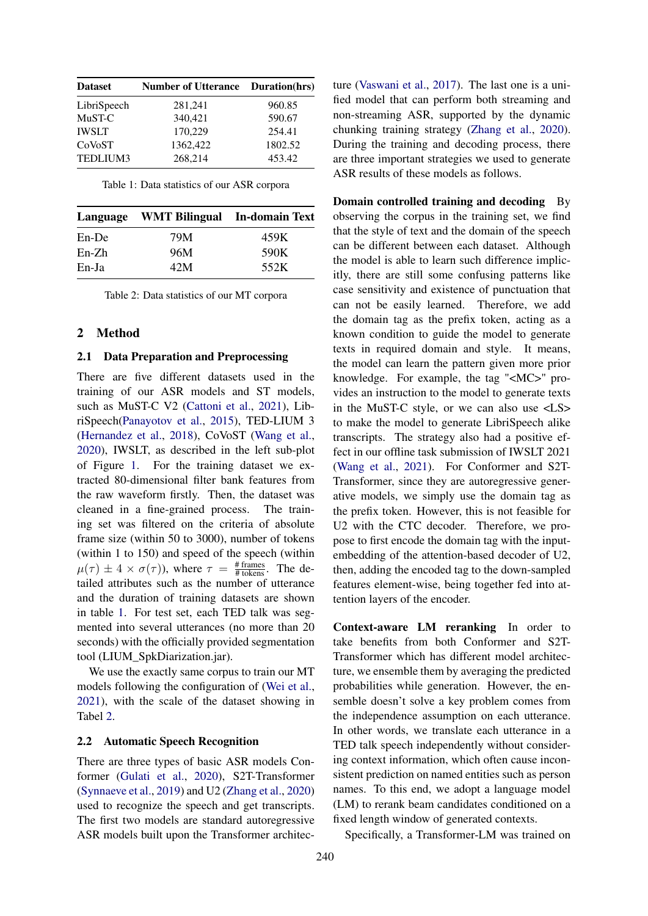<span id="page-1-0"></span>

| <b>Dataset</b> | <b>Number of Utterance</b> | Duration(hrs) |
|----------------|----------------------------|---------------|
| LibriSpeech    | 281,241                    | 960.85        |
| MuST-C         | 340,421                    | 590.67        |
| <b>IWSLT</b>   | 170,229                    | 254.41        |
| CoVoST         | 1362,422                   | 1802.52       |
| TEDLIUM3       | 268,214                    | 453.42        |

Table 1: Data statistics of our ASR corpora

<span id="page-1-1"></span>

|          | Language WMT Bilingual In-domain Text |      |
|----------|---------------------------------------|------|
| $En$ -De | 79M                                   | 459K |
| $En-Zh$  | 96M                                   | 590K |
| En-Ja    | 42M                                   | 552K |

Table 2: Data statistics of our MT corpora

# 2 Method

#### 2.1 Data Preparation and Preprocessing

There are five different datasets used in the training of our ASR models and ST models, such as MuST-C V2 [\(Cattoni et al.,](#page-6-2) [2021\)](#page-6-2), LibriSpeech[\(Panayotov et al.,](#page-6-3) [2015\)](#page-6-3), TED-LIUM 3 [\(Hernandez et al.,](#page-6-4) [2018\)](#page-6-4), CoVoST [\(Wang et al.,](#page-7-2) [2020\)](#page-7-2), IWSLT, as described in the left sub-plot of Figure [1.](#page-3-0) For the training dataset we extracted 80-dimensional filter bank features from the raw waveform firstly. Then, the dataset was cleaned in a fine-grained process. The training set was filtered on the criteria of absolute frame size (within 50 to 3000), number of tokens (within 1 to 150) and speed of the speech (within  $\mu(\tau) \pm 4 \times \sigma(\tau)$ ), where  $\tau = \frac{\text{\# frames}}{\text{\# tokens}}$ . The detailed attributes such as the number of utterance and the duration of training datasets are shown in table [1.](#page-1-0) For test set, each TED talk was segmented into several utterances (no more than 20 seconds) with the officially provided segmentation tool (LIUM\_SpkDiarization.jar).

We use the exactly same corpus to train our MT models following the configuration of [\(Wei et al.,](#page-7-3) [2021\)](#page-7-3), with the scale of the dataset showing in Tabel [2.](#page-1-1)

#### 2.2 Automatic Speech Recognition

There are three types of basic ASR models Conformer [\(Gulati et al.,](#page-6-0) [2020\)](#page-6-0), S2T-Transformer [\(Synnaeve et al.,](#page-7-0) [2019\)](#page-7-0) and U2 [\(Zhang et al.,](#page-7-4) [2020\)](#page-7-4) used to recognize the speech and get transcripts. The first two models are standard autoregressive ASR models built upon the Transformer architecture [\(Vaswani et al.,](#page-7-1) [2017\)](#page-7-1). The last one is a unified model that can perform both streaming and non-streaming ASR, supported by the dynamic chunking training strategy [\(Zhang et al.,](#page-7-4) [2020\)](#page-7-4). During the training and decoding process, there are three important strategies we used to generate ASR results of these models as follows.

Domain controlled training and decoding By observing the corpus in the training set, we find that the style of text and the domain of the speech can be different between each dataset. Although the model is able to learn such difference implicitly, there are still some confusing patterns like case sensitivity and existence of punctuation that can not be easily learned. Therefore, we add the domain tag as the prefix token, acting as a known condition to guide the model to generate texts in required domain and style. It means, the model can learn the pattern given more prior knowledge. For example, the tag "<MC>" provides an instruction to the model to generate texts in the MuST-C style, or we can also use <LS> to make the model to generate LibriSpeech alike transcripts. The strategy also had a positive effect in our offline task submission of IWSLT 2021 [\(Wang et al.,](#page-7-5) [2021\)](#page-7-5). For Conformer and S2T-Transformer, since they are autoregressive generative models, we simply use the domain tag as the prefix token. However, this is not feasible for U2 with the CTC decoder. Therefore, we propose to first encode the domain tag with the inputembedding of the attention-based decoder of U2, then, adding the encoded tag to the down-sampled features element-wise, being together fed into attention layers of the encoder.

Context-aware LM reranking In order to take benefits from both Conformer and S2T-Transformer which has different model architecture, we ensemble them by averaging the predicted probabilities while generation. However, the ensemble doesn't solve a key problem comes from the independence assumption on each utterance. In other words, we translate each utterance in a TED talk speech independently without considering context information, which often cause inconsistent prediction on named entities such as person names. To this end, we adopt a language model (LM) to rerank beam candidates conditioned on a fixed length window of generated contexts.

Specifically, a Transformer-LM was trained on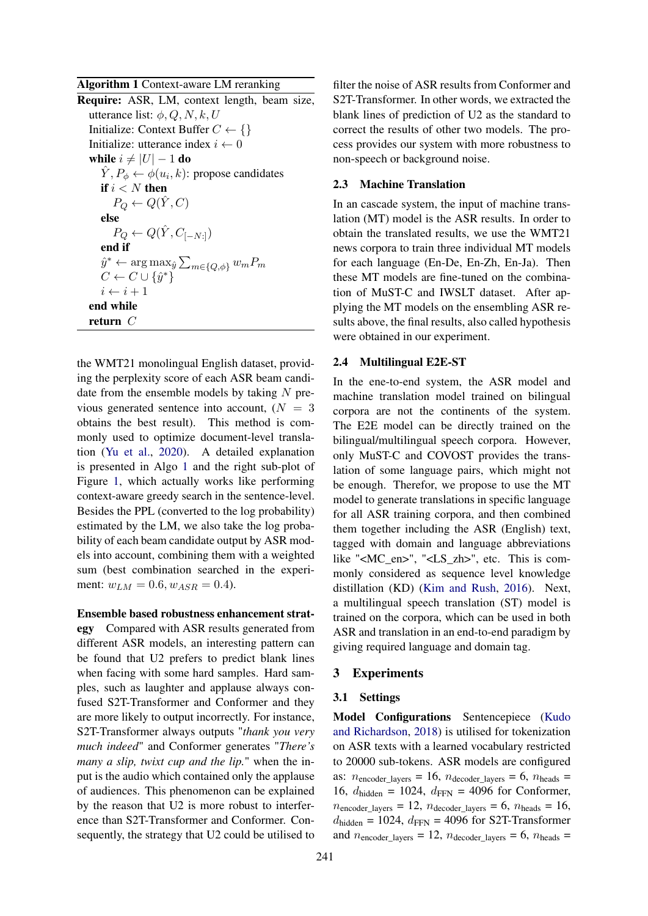<span id="page-2-0"></span>Algorithm 1 Context-aware LM reranking

| Require: ASR, LM, context length, beam size,                                |
|-----------------------------------------------------------------------------|
| utterance list: $\phi$ , Q, N, k, U                                         |
| Initialize: Context Buffer $C \leftarrow \{\}$                              |
| Initialize: utterance index $i \leftarrow 0$                                |
| while $i \neq  U -1$ do                                                     |
| $\hat{Y}, P_{\phi} \leftarrow \phi(u_i, k)$ : propose candidates            |
| if $i < N$ then                                                             |
| $P_O \leftarrow Q(\hat{Y}, C)$                                              |
| else                                                                        |
| $P_Q \leftarrow Q(\hat{Y}, C_{[-N:]})$                                      |
| end if                                                                      |
| $\hat{y}^* \leftarrow \arg \max_{\hat{y}} \sum_{m \in \{Q, \phi\}} w_m P_m$ |
| $C \leftarrow C \cup \{\hat{y}^*\}$                                         |
| $i \leftarrow i + 1$                                                        |
| end while                                                                   |
| return $\,C$                                                                |
|                                                                             |

the WMT21 monolingual English dataset, providing the perplexity score of each ASR beam candidate from the ensemble models by taking  $N$  previous generated sentence into account,  $(N = 3)$ obtains the best result). This method is commonly used to optimize document-level translation [\(Yu et al.,](#page-7-6) [2020\)](#page-7-6). A detailed explanation is presented in Algo [1](#page-2-0) and the right sub-plot of Figure [1,](#page-3-0) which actually works like performing context-aware greedy search in the sentence-level. Besides the PPL (converted to the log probability) estimated by the LM, we also take the log probability of each beam candidate output by ASR models into account, combining them with a weighted sum (best combination searched in the experiment:  $w_{LM} = 0.6, w_{ASR} = 0.4$ ).

# Ensemble based robustness enhancement strat-

egy Compared with ASR results generated from different ASR models, an interesting pattern can be found that U2 prefers to predict blank lines when facing with some hard samples. Hard samples, such as laughter and applause always confused S2T-Transformer and Conformer and they are more likely to output incorrectly. For instance, S2T-Transformer always outputs "*thank you very much indeed*" and Conformer generates "*There's many a slip, twixt cup and the lip.*" when the input is the audio which contained only the applause of audiences. This phenomenon can be explained by the reason that U2 is more robust to interference than S2T-Transformer and Conformer. Consequently, the strategy that U2 could be utilised to filter the noise of ASR results from Conformer and S2T-Transformer. In other words, we extracted the blank lines of prediction of U2 as the standard to correct the results of other two models. The process provides our system with more robustness to non-speech or background noise.

#### 2.3 Machine Translation

In an cascade system, the input of machine translation (MT) model is the ASR results. In order to obtain the translated results, we use the WMT21 news corpora to train three individual MT models for each language (En-De, En-Zh, En-Ja). Then these MT models are fine-tuned on the combination of MuST-C and IWSLT dataset. After applying the MT models on the ensembling ASR results above, the final results, also called hypothesis were obtained in our experiment.

# 2.4 Multilingual E2E-ST

In the ene-to-end system, the ASR model and machine translation model trained on bilingual corpora are not the continents of the system. The E2E model can be directly trained on the bilingual/multilingual speech corpora. However, only MuST-C and COVOST provides the translation of some language pairs, which might not be enough. Therefor, we propose to use the MT model to generate translations in specific language for all ASR training corpora, and then combined them together including the ASR (English) text, tagged with domain and language abbreviations like "<MC\_en>", "<LS\_zh>", etc. This is commonly considered as sequence level knowledge distillation (KD) [\(Kim and Rush,](#page-6-5) [2016\)](#page-6-5). Next, a multilingual speech translation (ST) model is trained on the corpora, which can be used in both ASR and translation in an end-to-end paradigm by giving required language and domain tag.

# 3 Experiments

# 3.1 Settings

Model Configurations Sentencepiece [\(Kudo](#page-6-6) [and Richardson,](#page-6-6) [2018\)](#page-6-6) is utilised for tokenization on ASR texts with a learned vocabulary restricted to 20000 sub-tokens. ASR models are configured as:  $n_{\text{encoder\_layers}} = 16$ ,  $n_{\text{decoder\_layers}} = 6$ ,  $n_{\text{heads}} =$ 16,  $d_{\text{hidden}} = 1024$ ,  $d_{\text{FFN}} = 4096$  for Conformer,  $n_{\text{encoder\_layers}} = 12$ ,  $n_{\text{decoder\_layers}} = 6$ ,  $n_{\text{heads}} = 16$ ,  $d_{\text{hidden}} = 1024$ ,  $d_{\text{FFN}} = 4096$  for S2T-Transformer and  $n_{\text{encoder\_layers}} = 12$ ,  $n_{\text{decoder\_layers}} = 6$ ,  $n_{\text{heads}} =$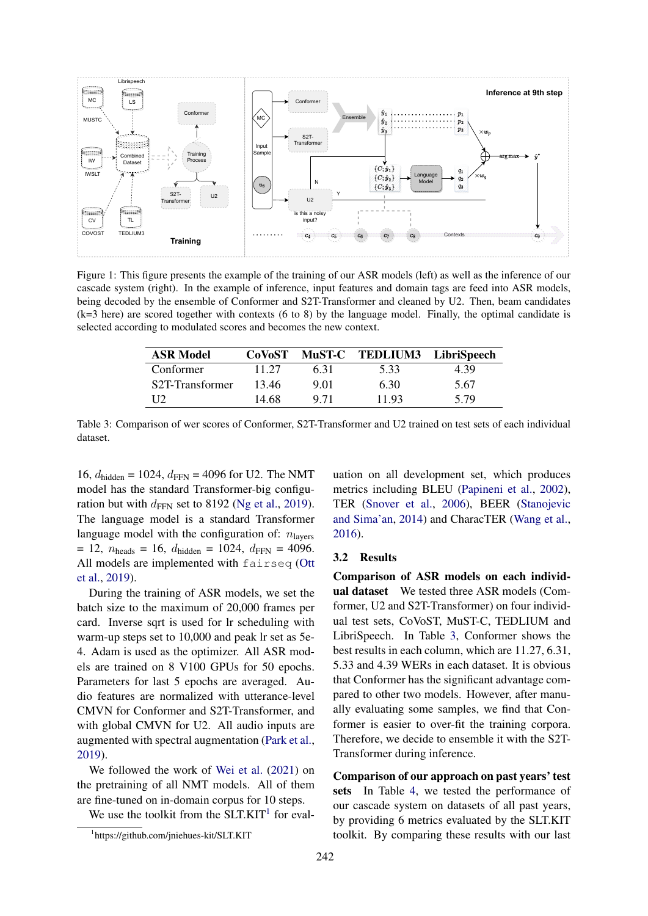<span id="page-3-0"></span>

<span id="page-3-2"></span>Figure 1: This figure presents the example of the training of our ASR models (left) as well as the inference of our cascade system (right). In the example of inference, input features and domain tags are feed into ASR models, being decoded by the ensemble of Conformer and S2T-Transformer and cleaned by U2. Then, beam candidates (k=3 here) are scored together with contexts (6 to 8) by the language model. Finally, the optimal candidate is selected according to modulated scores and becomes the new context.

| <b>ASR Model</b>             |       |      | CoVoST MuST-C TEDLIUM3 LibriSpeech |      |
|------------------------------|-------|------|------------------------------------|------|
| Conformer                    | 11.27 | 631  | 5.33                               | 4.39 |
| S <sub>2</sub> T-Transformer | 13.46 | 9.01 | 6.30                               | 5.67 |
| 112                          | 14.68 | 9.71 | 11.93                              | 5.79 |

Table 3: Comparison of wer scores of Conformer, S2T-Transformer and U2 trained on test sets of each individual dataset.

16,  $d_{\text{hidden}} = 1024$ ,  $d_{\text{FFN}} = 4096$  for U2. The NMT model has the standard Transformer-big configuration but with  $d_{\text{FFN}}$  set to 8192 [\(Ng et al.,](#page-6-7) [2019\)](#page-6-7). The language model is a standard Transformer language model with the configuration of:  $n_{\text{layers}}$  $= 12$ ,  $n_{\text{heads}} = 16$ ,  $d_{\text{hidden}} = 1024$ ,  $d_{\text{FFN}} = 4096$ . All models are implemented with fairseq [\(Ott](#page-6-8) [et al.,](#page-6-8) [2019\)](#page-6-8).

During the training of ASR models, we set the batch size to the maximum of 20,000 frames per card. Inverse sqrt is used for lr scheduling with warm-up steps set to 10,000 and peak lr set as 5e-4. Adam is used as the optimizer. All ASR models are trained on 8 V100 GPUs for 50 epochs. Parameters for last 5 epochs are averaged. Audio features are normalized with utterance-level CMVN for Conformer and S2T-Transformer, and with global CMVN for U2. All audio inputs are augmented with spectral augmentation [\(Park et al.,](#page-6-9) [2019\)](#page-6-9).

We followed the work of [Wei et al.](#page-7-3) [\(2021\)](#page-7-3) on the pretraining of all NMT models. All of them are fine-tuned on in-domain corpus for 10 steps.

We use the toolkit from the  $SLT$ .KIT<sup>[1](#page-3-1)</sup> for eval-

uation on all development set, which produces metrics including BLEU [\(Papineni et al.,](#page-6-10) [2002\)](#page-6-10), TER [\(Snover et al.,](#page-6-11) [2006\)](#page-6-11), BEER [\(Stanojevic](#page-7-7) [and Sima'an,](#page-7-7) [2014\)](#page-7-7) and CharacTER [\(Wang et al.,](#page-7-8) [2016\)](#page-7-8).

#### 3.2 Results

Comparison of ASR models on each individual dataset We tested three ASR models (Comformer, U2 and S2T-Transformer) on four individual test sets, CoVoST, MuST-C, TEDLIUM and LibriSpeech. In Table [3,](#page-3-2) Conformer shows the best results in each column, which are 11.27, 6.31, 5.33 and 4.39 WERs in each dataset. It is obvious that Conformer has the significant advantage compared to other two models. However, after manually evaluating some samples, we find that Conformer is easier to over-fit the training corpora. Therefore, we decide to ensemble it with the S2T-Transformer during inference.

Comparison of our approach on past years' test sets In Table [4,](#page-4-0) we tested the performance of our cascade system on datasets of all past years, by providing 6 metrics evaluated by the SLT.KIT toolkit. By comparing these results with our last

<span id="page-3-1"></span><sup>1</sup> https://github.com/jniehues-kit/SLT.KIT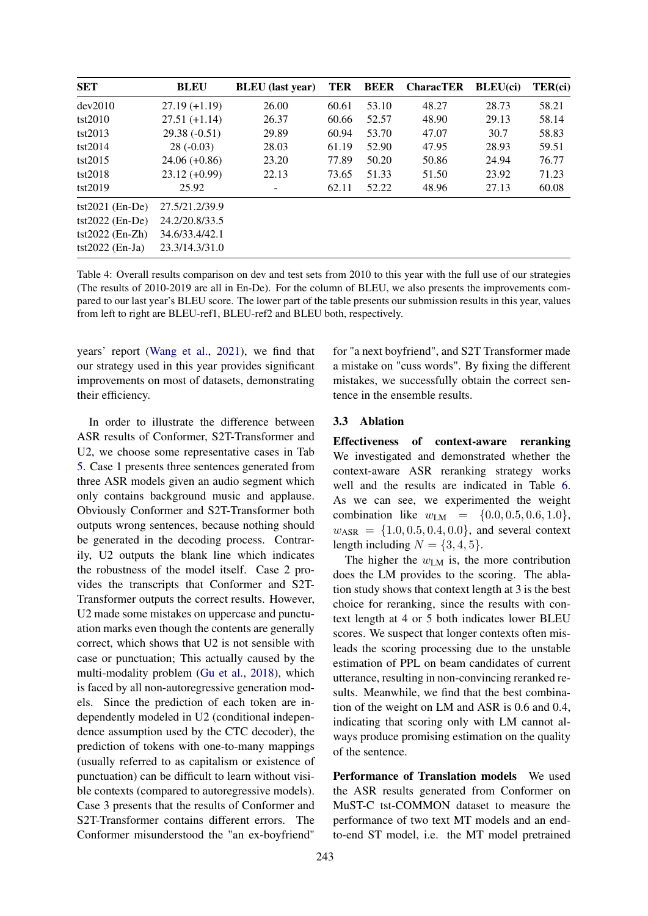<span id="page-4-0"></span>

| <b>SET</b>         | <b>BLEU</b>     | <b>BLEU</b> (last year) | TER   | <b>BEER</b> | <b>CharacTER</b> | $BLEU$ (ci) | TER(ci) |
|--------------------|-----------------|-------------------------|-------|-------------|------------------|-------------|---------|
| dev2010            | $27.19 (+1.19)$ | 26.00                   | 60.61 | 53.10       | 48.27            | 28.73       | 58.21   |
| tst2010            | $27.51(+1.14)$  | 26.37                   | 60.66 | 52.57       | 48.90            | 29.13       | 58.14   |
| tst2013            | $29.38(-0.51)$  | 29.89                   | 60.94 | 53.70       | 47.07            | 30.7        | 58.83   |
| tst2014            | $28(-0.03)$     | 28.03                   | 61.19 | 52.90       | 47.95            | 28.93       | 59.51   |
| tst2015            | $24.06 (+0.86)$ | 23.20                   | 77.89 | 50.20       | 50.86            | 24.94       | 76.77   |
| tst2018            | $23.12 (+0.99)$ | 22.13                   | 73.65 | 51.33       | 51.50            | 23.92       | 71.23   |
| tst2019            | 25.92           |                         | 62.11 | 52.22       | 48.96            | 27.13       | 60.08   |
| $tst2021$ (En-De)  | 27.5/21.2/39.9  |                         |       |             |                  |             |         |
| $tst2022$ (En-De)  | 24.2/20.8/33.5  |                         |       |             |                  |             |         |
| tst $2022$ (En-Zh) | 34.6/33.4/42.1  |                         |       |             |                  |             |         |
| $tst2022$ (En-Ja)  | 23.3/14.3/31.0  |                         |       |             |                  |             |         |

Table 4: Overall results comparison on dev and test sets from 2010 to this year with the full use of our strategies (The results of 2010-2019 are all in En-De). For the column of BLEU, we also presents the improvements compared to our last year's BLEU score. The lower part of the table presents our submission results in this year, values from left to right are BLEU-ref1, BLEU-ref2 and BLEU both, respectively.

years' report [\(Wang et al.,](#page-7-5) [2021\)](#page-7-5), we find that our strategy used in this year provides significant improvements on most of datasets, demonstrating their efficiency.

In order to illustrate the difference between ASR results of Conformer, S2T-Transformer and U2, we choose some representative cases in Tab [5.](#page-5-0) Case 1 presents three sentences generated from three ASR models given an audio segment which only contains background music and applause. Obviously Conformer and S2T-Transformer both outputs wrong sentences, because nothing should be generated in the decoding process. Contrarily, U2 outputs the blank line which indicates the robustness of the model itself. Case 2 provides the transcripts that Conformer and S2T-Transformer outputs the correct results. However, U2 made some mistakes on uppercase and punctuation marks even though the contents are generally correct, which shows that U2 is not sensible with case or punctuation; This actually caused by the multi-modality problem [\(Gu et al.,](#page-6-12) [2018\)](#page-6-12), which is faced by all non-autoregressive generation models. Since the prediction of each token are independently modeled in U2 (conditional independence assumption used by the CTC decoder), the prediction of tokens with one-to-many mappings (usually referred to as capitalism or existence of punctuation) can be difficult to learn without visible contexts (compared to autoregressive models). Case 3 presents that the results of Conformer and S2T-Transformer contains different errors. The Conformer misunderstood the "an ex-boyfriend"

for "a next boyfriend", and S2T Transformer made a mistake on "cuss words". By fixing the different mistakes, we successfully obtain the correct sentence in the ensemble results.

#### 3.3 Ablation

Effectiveness of context-aware reranking We investigated and demonstrated whether the context-aware ASR reranking strategy works well and the results are indicated in Table [6.](#page-5-1) As we can see, we experimented the weight combination like  $w_{LM} = \{0.0, 0.5, 0.6, 1.0\}$ ,  $w_{\text{ASR}} = \{1.0, 0.5, 0.4, 0.0\}$ , and several context length including  $N = \{3, 4, 5\}.$ 

The higher the  $w_{LM}$  is, the more contribution does the LM provides to the scoring. The ablation study shows that context length at 3 is the best choice for reranking, since the results with context length at 4 or 5 both indicates lower BLEU scores. We suspect that longer contexts often misleads the scoring processing due to the unstable estimation of PPL on beam candidates of current utterance, resulting in non-convincing reranked results. Meanwhile, we find that the best combination of the weight on LM and ASR is 0.6 and 0.4, indicating that scoring only with LM cannot always produce promising estimation on the quality of the sentence.

Performance of Translation models We used the ASR results generated from Conformer on MuST-C tst-COMMON dataset to measure the performance of two text MT models and an endto-end ST model, i.e. the MT model pretrained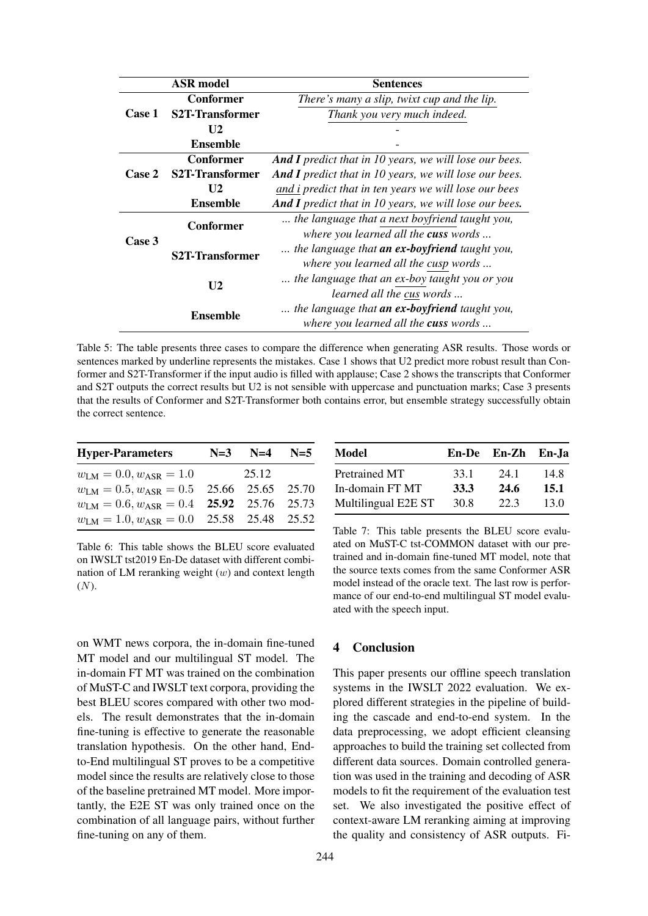<span id="page-5-0"></span>

| <b>ASR</b> model |                              | <b>Sentences</b>                                              |  |  |
|------------------|------------------------------|---------------------------------------------------------------|--|--|
|                  | <b>Conformer</b>             | There's many a slip, twixt cup and the lip.                   |  |  |
| Case 1           | <b>S2T-Transformer</b>       | Thank you very much indeed.                                   |  |  |
|                  | U <sub>2</sub>               |                                                               |  |  |
|                  | <b>Ensemble</b>              |                                                               |  |  |
|                  | <b>Conformer</b>             | <b>And I</b> predict that in 10 years, we will lose our bees. |  |  |
| Case 2           | S <sub>2</sub> T-Transformer | <b>And I</b> predict that in 10 years, we will lose our bees. |  |  |
|                  | U <sub>2</sub>               | and i predict that in ten years we will lose our bees         |  |  |
|                  | <b>Ensemble</b>              | <b>And I</b> predict that in 10 years, we will lose our bees. |  |  |
|                  | Conformer                    | the language that a next boyfriend taught you,                |  |  |
| Case 3           |                              | where you learned all the cuss words                          |  |  |
|                  | <b>S2T-Transformer</b>       | the language that an ex-boyfriend taught you,                 |  |  |
|                  |                              | where you learned all the cusp words                          |  |  |
| U <sub>2</sub>   |                              | the language that an ex-boy taught you or you                 |  |  |
|                  |                              | <i>learned all the cus words</i>                              |  |  |
|                  | Ensemble                     | the language that <b>an ex-boyfriend</b> taught you,          |  |  |
|                  |                              | where you learned all the cuss words                          |  |  |

Table 5: The table presents three cases to compare the difference when generating ASR results. Those words or sentences marked by underline represents the mistakes. Case 1 shows that U2 predict more robust result than Conformer and S2T-Transformer if the input audio is filled with applause; Case 2 shows the transcripts that Conformer and S2T outputs the correct results but U2 is not sensible with uppercase and punctuation marks; Case 3 presents that the results of Conformer and S2T-Transformer both contains error, but ensemble strategy successfully obtain the correct sentence.

<span id="page-5-1"></span>

| <b>Hyper-Parameters</b>                         | $N=3$ $N=4$ $N=5$ |  |
|-------------------------------------------------|-------------------|--|
| $w_{LM} = 0.0, w_{ASR} = 1.0$                   | 25.12             |  |
| $w_{LM} = 0.5, w_{ASR} = 0.5$ 25.66 25.65 25.70 |                   |  |
| $w_{LM} = 0.6, w_{ASR} = 0.4$ 25.92 25.76 25.73 |                   |  |
| $w_{LM} = 1.0, w_{ASR} = 0.0$ 25.58 25.48 25.52 |                   |  |

Table 6: This table shows the BLEU score evaluated on IWSLT tst2019 En-De dataset with different combination of LM reranking weight  $(w)$  and context length (N).

on WMT news corpora, the in-domain fine-tuned MT model and our multilingual ST model. The in-domain FT MT was trained on the combination of MuST-C and IWSLT text corpora, providing the best BLEU scores compared with other two models. The result demonstrates that the in-domain fine-tuning is effective to generate the reasonable translation hypothesis. On the other hand, Endto-End multilingual ST proves to be a competitive model since the results are relatively close to those of the baseline pretrained MT model. More importantly, the E2E ST was only trained once on the combination of all language pairs, without further fine-tuning on any of them.

| <b>Model</b>        |      | En-De En-Zh En-Ja |      |  |
|---------------------|------|-------------------|------|--|
| Pretrained MT       | 33.1 | 24.1              | 14.8 |  |
| In-domain FT MT     | 33.3 | 24.6              | 15.1 |  |
| Multilingual E2E ST | 30.8 | 22.3              | 13.0 |  |

Table 7: This table presents the BLEU score evaluated on MuST-C tst-COMMON dataset with our pretrained and in-domain fine-tuned MT model, note that the source texts comes from the same Conformer ASR model instead of the oracle text. The last row is performance of our end-to-end multilingual ST model evaluated with the speech input.

### 4 Conclusion

This paper presents our offline speech translation systems in the IWSLT 2022 evaluation. We explored different strategies in the pipeline of building the cascade and end-to-end system. In the data preprocessing, we adopt efficient cleansing approaches to build the training set collected from different data sources. Domain controlled generation was used in the training and decoding of ASR models to fit the requirement of the evaluation test set. We also investigated the positive effect of context-aware LM reranking aiming at improving the quality and consistency of ASR outputs. Fi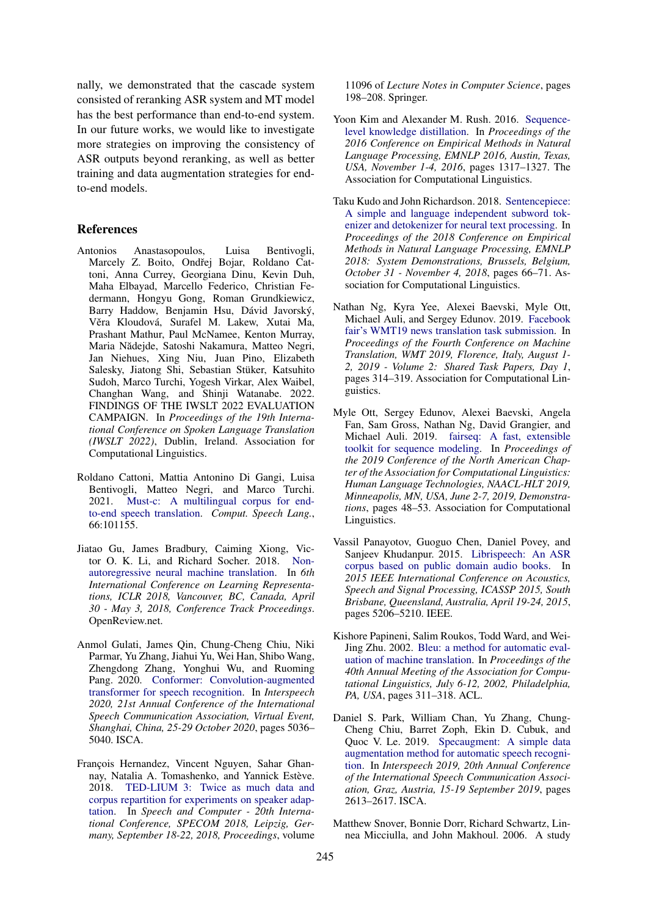nally, we demonstrated that the cascade system consisted of reranking ASR system and MT model has the best performance than end-to-end system. In our future works, we would like to investigate more strategies on improving the consistency of ASR outputs beyond reranking, as well as better training and data augmentation strategies for endto-end models.

#### References

- <span id="page-6-1"></span>Antonios Anastasopoulos, Luisa Bentivogli, Marcely Z. Boito, Ondřej Bojar, Roldano Cattoni, Anna Currey, Georgiana Dinu, Kevin Duh, Maha Elbayad, Marcello Federico, Christian Federmann, Hongyu Gong, Roman Grundkiewicz, Barry Haddow, Benjamin Hsu, Dávid Javorský, Věra Kloudová, Surafel M. Lakew, Xutai Ma, Prashant Mathur, Paul McNamee, Kenton Murray, Maria Nădejde, Satoshi Nakamura, Matteo Negri, Jan Niehues, Xing Niu, Juan Pino, Elizabeth Salesky, Jiatong Shi, Sebastian Stüker, Katsuhito Sudoh, Marco Turchi, Yogesh Virkar, Alex Waibel, Changhan Wang, and Shinji Watanabe. 2022. FINDINGS OF THE IWSLT 2022 EVALUATION CAMPAIGN. In *Proceedings of the 19th International Conference on Spoken Language Translation (IWSLT 2022)*, Dublin, Ireland. Association for Computational Linguistics.
- <span id="page-6-2"></span>Roldano Cattoni, Mattia Antonino Di Gangi, Luisa Bentivogli, Matteo Negri, and Marco Turchi. 2021. [Must-c: A multilingual corpus for end](https://doi.org/10.1016/j.csl.2020.101155)[to-end speech translation.](https://doi.org/10.1016/j.csl.2020.101155) *Comput. Speech Lang.*, 66:101155.
- <span id="page-6-12"></span>Jiatao Gu, James Bradbury, Caiming Xiong, Victor O. K. Li, and Richard Socher. 2018. [Non](https://openreview.net/forum?id=B1l8BtlCb)[autoregressive neural machine translation.](https://openreview.net/forum?id=B1l8BtlCb) In *6th International Conference on Learning Representations, ICLR 2018, Vancouver, BC, Canada, April 30 - May 3, 2018, Conference Track Proceedings*. OpenReview.net.
- <span id="page-6-0"></span>Anmol Gulati, James Qin, Chung-Cheng Chiu, Niki Parmar, Yu Zhang, Jiahui Yu, Wei Han, Shibo Wang, Zhengdong Zhang, Yonghui Wu, and Ruoming Pang. 2020. [Conformer: Convolution-augmented](https://doi.org/10.21437/Interspeech.2020-3015) [transformer for speech recognition.](https://doi.org/10.21437/Interspeech.2020-3015) In *Interspeech 2020, 21st Annual Conference of the International Speech Communication Association, Virtual Event, Shanghai, China, 25-29 October 2020*, pages 5036– 5040. ISCA.
- <span id="page-6-4"></span>François Hernandez, Vincent Nguyen, Sahar Ghannay, Natalia A. Tomashenko, and Yannick Estève. 2018. [TED-LIUM 3: Twice as much data and](https://doi.org/10.1007/978-3-319-99579-3_21) [corpus repartition for experiments on speaker adap](https://doi.org/10.1007/978-3-319-99579-3_21)[tation.](https://doi.org/10.1007/978-3-319-99579-3_21) In *Speech and Computer - 20th International Conference, SPECOM 2018, Leipzig, Germany, September 18-22, 2018, Proceedings*, volume

11096 of *Lecture Notes in Computer Science*, pages 198–208. Springer.

- <span id="page-6-5"></span>Yoon Kim and Alexander M. Rush. 2016. [Sequence](https://doi.org/10.18653/v1/d16-1139)[level knowledge distillation.](https://doi.org/10.18653/v1/d16-1139) In *Proceedings of the 2016 Conference on Empirical Methods in Natural Language Processing, EMNLP 2016, Austin, Texas, USA, November 1-4, 2016*, pages 1317–1327. The Association for Computational Linguistics.
- <span id="page-6-6"></span>Taku Kudo and John Richardson. 2018. [Sentencepiece:](https://doi.org/10.18653/v1/d18-2012) [A simple and language independent subword tok](https://doi.org/10.18653/v1/d18-2012)[enizer and detokenizer for neural text processing.](https://doi.org/10.18653/v1/d18-2012) In *Proceedings of the 2018 Conference on Empirical Methods in Natural Language Processing, EMNLP 2018: System Demonstrations, Brussels, Belgium, October 31 - November 4, 2018*, pages 66–71. Association for Computational Linguistics.
- <span id="page-6-7"></span>Nathan Ng, Kyra Yee, Alexei Baevski, Myle Ott, Michael Auli, and Sergey Edunov. 2019. [Facebook](https://doi.org/10.18653/v1/w19-5333) [fair's WMT19 news translation task submission.](https://doi.org/10.18653/v1/w19-5333) In *Proceedings of the Fourth Conference on Machine Translation, WMT 2019, Florence, Italy, August 1- 2, 2019 - Volume 2: Shared Task Papers, Day 1*, pages 314–319. Association for Computational Linguistics.
- <span id="page-6-8"></span>Myle Ott, Sergey Edunov, Alexei Baevski, Angela Fan, Sam Gross, Nathan Ng, David Grangier, and Michael Auli. 2019. [fairseq: A fast, extensible](https://doi.org/10.18653/v1/n19-4009) [toolkit for sequence modeling.](https://doi.org/10.18653/v1/n19-4009) In *Proceedings of the 2019 Conference of the North American Chapter of the Association for Computational Linguistics: Human Language Technologies, NAACL-HLT 2019, Minneapolis, MN, USA, June 2-7, 2019, Demonstrations*, pages 48–53. Association for Computational Linguistics.
- <span id="page-6-3"></span>Vassil Panayotov, Guoguo Chen, Daniel Povey, and Sanjeev Khudanpur. 2015. [Librispeech: An ASR](https://doi.org/10.1109/ICASSP.2015.7178964) [corpus based on public domain audio books.](https://doi.org/10.1109/ICASSP.2015.7178964) In *2015 IEEE International Conference on Acoustics, Speech and Signal Processing, ICASSP 2015, South Brisbane, Queensland, Australia, April 19-24, 2015*, pages 5206–5210. IEEE.
- <span id="page-6-10"></span>Kishore Papineni, Salim Roukos, Todd Ward, and Wei-Jing Zhu. 2002. [Bleu: a method for automatic eval](https://doi.org/10.3115/1073083.1073135)[uation of machine translation.](https://doi.org/10.3115/1073083.1073135) In *Proceedings of the 40th Annual Meeting of the Association for Computational Linguistics, July 6-12, 2002, Philadelphia, PA, USA*, pages 311–318. ACL.
- <span id="page-6-9"></span>Daniel S. Park, William Chan, Yu Zhang, Chung-Cheng Chiu, Barret Zoph, Ekin D. Cubuk, and Quoc V. Le. 2019. [Specaugment: A simple data](https://doi.org/10.21437/Interspeech.2019-2680) [augmentation method for automatic speech recogni](https://doi.org/10.21437/Interspeech.2019-2680)[tion.](https://doi.org/10.21437/Interspeech.2019-2680) In *Interspeech 2019, 20th Annual Conference of the International Speech Communication Association, Graz, Austria, 15-19 September 2019*, pages 2613–2617. ISCA.
- <span id="page-6-11"></span>Matthew Snover, Bonnie Dorr, Richard Schwartz, Linnea Micciulla, and John Makhoul. 2006. A study